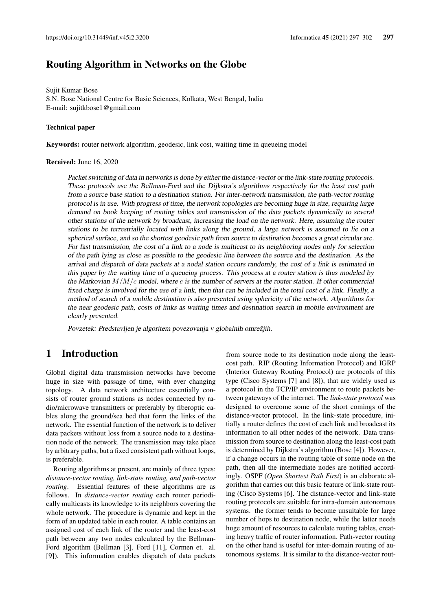# Routing Algorithm in Networks on the Globe

Sujit Kumar Bose S.N. Bose National Centre for Basic Sciences, Kolkata, West Bengal, India E-mail: sujitkbose1@gmail.com

#### Technical paper

Keywords: router network algorithm, geodesic, link cost, waiting time in queueing model

#### Received: June 16, 2020

Packet switching of data in networks is done by either the distance-vector or the link-state routing protocols. These protocols use the Bellman-Ford and the Dijkstra's algorithms respectively for the least cost path from a source base station to a destination station. For inter-network transmission, the path-vector routing protocol is in use. With progress of time, the network topologies are becoming huge in size, requiring large demand on book keeping of routing tables and transmission of the data packets dynamically to several other stations of the network by broadcast, increasing the load on the network. Here, assuming the router stations to be terrestrially located with links along the ground, a large network is assumed to lie on a spherical surface, and so the shortest geodesic path from source to destination becomes a great circular arc. For fast transmission, the cost of a link to a node is multicast to its neighboring nodes only for selection of the path lying as close as possible to the geodesic line between the source and the destination. As the arrival and dispatch of data packets at a nodal station occurs randomly, the cost of a link is estimated in this paper by the waiting time of a queueing process. This process at a router station is thus modeled by the Markovian  $M/M/c$  model, where c is the number of servers at the router station. If other commercial fixed charge is involved for the use of a link, then that can be included in the total cost of a link. Finally, a method of search of a mobile destination is also presented using sphericity of the network. Algorithms for the near geodesic path, costs of links as waiting times and destination search in mobile environment are clearly presented.

Povzetek: Predstavljen je algoritem povezovanja v globalnih omrežjih.

# 1 Introduction

Global digital data transmission networks have become huge in size with passage of time, with ever changing topology. A data network architecture essentially consists of router ground stations as nodes connected by radio/microwave transmitters or preferably by fiberoptic cables along the ground/sea bed that form the links of the network. The essential function of the network is to deliver data packets without loss from a source node to a destination node of the network. The transmission may take place by arbitrary paths, but a fixed consistent path without loops, is preferable.

Routing algorithms at present, are mainly of three types: *distance-vector routing, link-state routing, and path-vector routing*. Essential features of these algorithms are as follows. In *distance-vector routing* each router periodically multicasts its knowledge to its neighbors covering the whole network. The procedure is dynamic and kept in the form of an updated table in each router. A table contains an assigned cost of each link of the router and the least-cost path between any two nodes calculated by the Bellman-Ford algorithm (Bellman [3], Ford [11], Cormen et. al. [9]). This information enables dispatch of data packets from source node to its destination node along the leastcost path. RIP (Routing Information Protocol) and IGRP (Interior Gateway Routing Protocol) are protocols of this type (Cisco Systems [7] and [8]), that are widely used as a protocol in the TCP/IP environment to route packets between gateways of the internet. The *link-state protocol* was designed to overcome some of the short comings of the distance-vector protocol. In the link-state procedure, initially a router defines the cost of each link and broadcast its information to all other nodes of the network. Data transmission from source to destination along the least-cost path is determined by Dijkstra's algorithm (Bose [4]). However, if a change occurs in the routing table of some node on the path, then all the intermediate nodes are notified accordingly. OSPF (*Open Shortest Path First*) is an elaborate algorithm that carries out this basic feature of link-state routing (Cisco Systems [6]. The distance-vector and link-state routing protocols are suitable for intra-domain autonomous systems. the former tends to become unsuitable for large number of hops to destination node, while the latter needs huge amount of resources to calculate routing tables, creating heavy traffic of router information. Path-vector routing on the other hand is useful for inter-domain routing of autonomous systems. It is similar to the distance-vector rout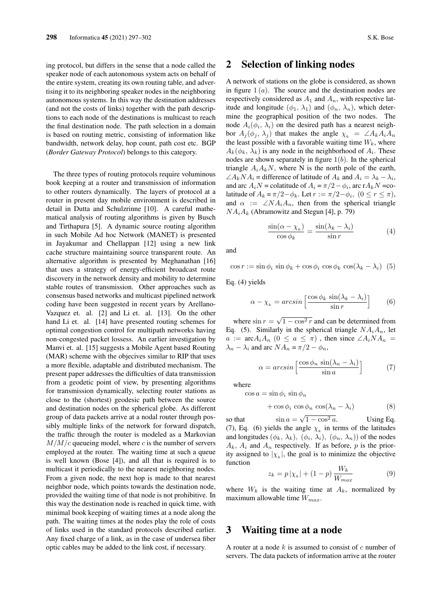ing protocol, but differs in the sense that a node called the speaker node of each autonomous system acts on behalf of the entire system, creating its own routing table, and advertising it to its neighboring speaker nodes in the neighboring autonomous systems. In this way the destination addresses (and not the costs of links) together with the path descriptions to each node of the destinations is multicast to reach the final destination node. The path selection in a domain is based on routing metric, consisting of information like bandwidth, network delay, hop count, path cost etc. BGP (*Border Gateway Protocol*) belongs to this category.

The three types of routing protocols require voluminous book keeping at a router and transmission of information to other routers dynamically. The layers of protocol at a router in present day mobile environment is described in detail in Dutta and Schulzrinne [10]. A careful mathematical analysis of routing algorithms is given by Busch and Tirthapura [5]. A dynamic source routing algorithm in such Mobile Ad hoc Network (MANET) is presented in Jayakumar and Chellappan [12] using a new link cache structure maintaining source transparent route. An alternative algorithm is presented by Meghanathan [16] that uses a strategy of energy-efficient broadcast route discovery in the network density and mobility to determine stable routes of transmission. Other approaches such as consensus based networks and multicast pipelined network coding have been suggested in recent years by Arellano-Vazquez et. al. [2] and Li et. al. [13]. On the other hand Li et. al. [14] have presented routing schemes for optimal congestion control for multipath networks having non-congested packet lossess. An earlier investigation by Manvi et. al. [15] suggests a Mobile Agent based Routing (MAR) scheme with the objecives similar to RIP that uses a more flexible, adaptable and distributed mechanism. The present paper addresses the difficulties of data transmission from a geodetic point of view, by presenting algorithms for transmission dynamically, selecting router stations as close to the (shortest) geodesic path between the source and destination nodes on the spherical globe. As different group of data packets arrive at a nodal router through possibly multiple links of the network for forward dispatch, the traffic through the router is modeled as a Markovian  $M/M/c$  queueing model, where c is the number of servers employed at the router. The waiting time at such a queue is well known (Bose [4]), and all that is required is to multicast it periodically to the nearest neighboring nodes. From a given node, the next hop is made to that nearest neighbor node, which points towards the destination node, provided the waiting time of that node is not prohibitive. In this way the destination node is reached in quick time, with minimal book keeping of waiting times at a node along the path. The waiting times at the nodes play the role of costs of links used in the standard protocols described earlier. Any fixed charge of a link, as in the case of undersea fiber optic cables may be added to the link cost, if necessary.

### 2 Selection of linking nodes

A network of stations on the globe is considered, as shown in figure  $1(a)$ . The source and the destination nodes are respectively considered as  $A_1$  and  $A_n$ , with respective latitude and longitude  $(\phi_1, \lambda_1)$  and  $(\phi_n, \lambda_n)$ , which determine the geographical position of the two nodes. The node  $A_i(\phi_i, \lambda_i)$  on the desired path has a nearest neighbor  $A_i(\phi_i, \lambda_i)$  that makes the angle  $\chi_k = \angle A_k A_i A_n$ the least possible with a favorable waiting time  $W_k$ , where  $A_k(\phi_k, \lambda_k)$  is any node in the neighborhood of  $A_i$ . These nodes are shown separately in figure  $1(b)$ . In the spherical triangle  $A_iA_kN$ , where N is the north pole of the earth,  $\angle A_kNA_i$  = difference of latitude of  $A_k$  and  $A_i = \lambda_k - \lambda_i$ , and arc  $A_iN$  = colatitude of  $A_i = \pi/2 - \phi_i$ , arc r $A_kN$  = colatitude of  $A_k = \pi/2 - \phi_k$ . Let  $r := \pi/2 - \phi_i$ ,  $(0 \le r \le \pi)$ , and  $\alpha := \angle NA_iA_n$ , then from the spherical triangle  $NA<sub>i</sub>A<sub>k</sub>$  (Abramowitz and Stegun [4], p. 79)

$$
\frac{\sin(\alpha - \chi_k)}{\cos \phi_k} = \frac{\sin(\lambda_k - \lambda_i)}{\sin r}
$$
(4)

and

 $\cos r := \sin \phi_i \sin \phi_k + \cos \phi_i \cos \phi_k \cos (\lambda_k - \lambda_i)$  (5)

Eq. (4) yields

$$
\alpha - \chi_k = \arcsin\left[\frac{\cos\phi_k \sin(\lambda_k - \lambda_i)}{\sin r}\right] \tag{6}
$$

where  $\sin r =$  $\sqrt{1-\cos^2 r}$  and can be determined from Eq. (5). Similarly in the spherical triangle  $NA_iA_n$ , let  $a := \text{arc} A_i A_n$   $(0 \le a \le \pi)$ , then since  $\angle A_i N A_n =$  $\lambda_n - \lambda_i$  and arc  $NA_n = \pi/2 - \phi_n$ ,

$$
\alpha = \arcsin\left[\frac{\cos\phi_n \sin(\lambda_n - \lambda_i)}{\sin a}\right] \tag{7}
$$

where

$$
\cos a = \sin \phi_i \, \sin \phi_n
$$

$$
+\cos\phi_i\,\cos\phi_n\,\cos(\lambda_n-\lambda_i)\tag{8}
$$

so that  $\sin a =$  $\sqrt{1-\cos^2 a}$ . Using Eq. (7), Eq. (6) yields the angle  $\chi_k$  in terms of the latitudes and longitudes  $(\phi_k, \lambda_k)$ ,  $(\phi_i, \lambda_i)$ ,  $(\phi_n, \lambda_n)$  of the nodes  $A_k$ ,  $A_i$  and  $A_n$  respectively. If as before, p is the priority assigned to  $|\chi_k|$ , the goal is to minimize the objective function

$$
z_k = p\left|\chi_k\right| + (1-p)\frac{W_k}{W_{max}}\tag{9}
$$

where  $W_k$  is the waiting time at  $A_k$ , normalized by maximum allowable time  $W_{max}$ .

### 3 Waiting time at a node

A router at a node  $k$  is assumed to consist of  $c$  number of servers. The data packets of information arrive at the router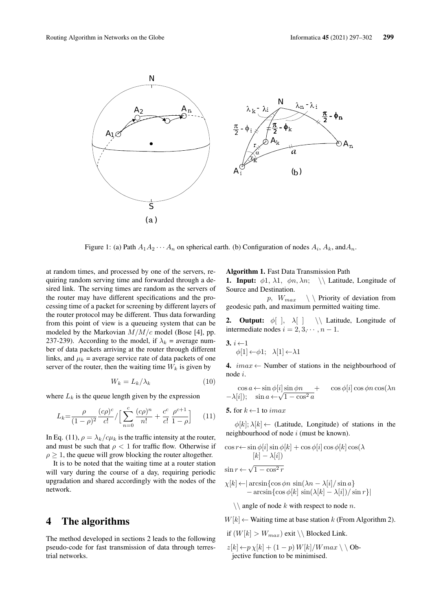

Figure 1: (a) Path  $A_1 A_2 \cdots A_n$  on spherical earth. (b) Configuration of nodes  $A_i$ ,  $A_k$ , and  $A_n$ .

 $3.$ 

at random times, and processed by one of the servers, requiring random serving time and forwarded through a desired link. The serving times are random as the servers of the router may have different specifications and the processing time of a packet for screening by different layers of the router protocol may be different. Thus data forwarding from this point of view is a queueing system that can be modeled by the Markovian  $M/M/c$  model (Bose [4], pp. 237-239). According to the model, if  $\lambda_k$  = average number of data packets arriving at the router through different links, and  $\mu_k$  = average service rate of data packets of one server of the router, then the waiting time  $W_k$  is given by

$$
W_k = L_k / \lambda_k \tag{10}
$$

where  $L_k$  is the queue length given by the expression

$$
L_k = \frac{\rho}{(1-\rho)^2} \frac{(c\rho)^c}{c!} / \Big[ \sum_{n=0}^c \frac{(c\rho)^n}{n!} + \frac{c^c}{c!} \frac{\rho^{c+1}}{1-\rho} \Big] \tag{11}
$$

In Eq. (11),  $\rho = \lambda_k / c \mu_k$  is the traffic intensity at the router, and must be such that  $\rho < 1$  for traffic flow. Otherwise if  $\rho \geq 1$ , the queue will grow blocking the router altogether.

It is to be noted that the waiting time at a router station will vary during the course of a day, requiring periodic upgradation and shared accordingly with the nodes of the network.

# 4 The algorithms

The method developed in sections 2 leads to the following pseudo-code for fast transmission of data through terrestrial networks.

#### Algorithm 1. Fast Data Transmission Path

**1. Input:**  $\phi$ 1,  $\lambda$ 1,  $\phi$ n,  $\lambda$ n; \\ Latitude, Longitude of Source and Destination.

p,  $W_{max}$  \ \ Priority of deviation from geodesic path, and maximum permitted waiting time.

**2. Output:**  $\phi$ [ ],  $\lambda$ [ ] \\ Latitude, Longitude of intermediate nodes  $i = 2, 3, \dots, n - 1$ .

$$
\begin{array}{c} i \leftarrow 1 \\ \phi[1] \leftarrow \phi 1; \quad \lambda[1] \leftarrow \lambda 1 \end{array}
$$

4.  $imax \leftarrow$  Number of stations in the neighbourhood of node i.

$$
\cos a \leftarrow \sin \phi[i] \sin \phi n + \cos \phi[i] \cos \phi n \cos(\lambda n
$$
  
-\lambda[i]); 
$$
\sin a \leftarrow \sqrt{1 - \cos^2 a}
$$

5. for  $k \leftarrow 1$  to *imax* 

 $\phi[k]; \lambda[k] \leftarrow$  (Latitude, Longitude) of stations in the neighbourhood of node i (must be known).

$$
\cos r \leftarrow \sin \phi[i] \sin \phi[k] + \cos \phi[i] \cos \phi[k] \cos(\lambda
$$

$$
[k] - \lambda[i])
$$

$$
\sin r \leftarrow \sqrt{1 - \cos^2 r}
$$

$$
\chi[k] \leftarrow |\arcsin\{\cos\phi n \, \sin(\lambda n - \lambda[i]/\sin a\} - \arcsin\{\cos\phi[k]\sin(\lambda[k] - \lambda[i])/\sin r\}|\right)
$$

 $\setminus \mathcal{A}$  angle of node k with respect to node n.

 $W[k] \leftarrow$  Waiting time at base station k (From Algorithm 2).

- if  $(W[k] > W_{max})$  exit  $\setminus$  Blocked Link.
- $z[k] \leftarrow p \chi[k] + (1-p) W[k]/Wmax \setminus \mathrm{Ob}$ jective function to be minimised.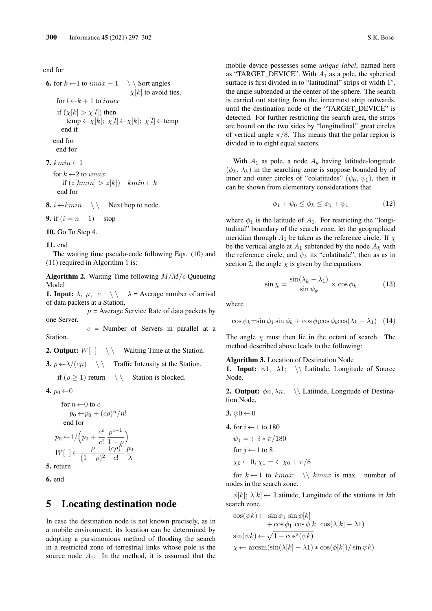end for

```
6. for k \leftarrow 1 to imax − 1 \setminus Sort angles
                                      \chi[k] to avoid ties.
 for l \leftarrow k + 1 to imax
  if (\chi[k] > \chi[l]) then
      temp \leftarrow \chi[k]; \chi[l] \leftarrow \chi[k]; \chi[l] \leftarrowtemp
    end if
end for
 end for
```
7.  $kmin \leftarrow 1$ 

for  $k \leftarrow 2$  to *imax* if  $(z[kmin] > z[k])$  kmin  $\leftarrow k$ end for

8. i ←kmin \ \ Next hop to node.

9. if  $(i = n - 1)$  stop

10. Go To Step 4.

#### 11. end

The waiting time pseudo-code following Eqs. (10) and (11) required in Algorithm 1 is:

**Algorithm 2.** Waiting Time following  $M/M/c$  Queueing Model

**1. Input:**  $\lambda$ ,  $\mu$ ,  $c \ \setminus \ \setminus \ \lambda$  = Average number of arrival of data packets at a Station,

 $\mu$  = Average Service Rate of data packets by one Server.

 $c =$  Number of Servers in parallel at a Station.

**2. Output:**  $W[\ ] \ \ \ \ \ \ \ \ \ \$  Waiting Time at the Station.

3.  $\rho \leftarrow \lambda / (c\mu)$   $\setminus \setminus$  Traffic Intensity at the Station.

if  $(\rho \ge 1)$  return  $\setminus \setminus$  Station is blocked.

4.  $p_0 \leftarrow 0$ 

for 
$$
n \leftarrow 0
$$
 to c  
\n $p_0 \leftarrow p_0 + (c\rho)^n/n!$   
\nend for  
\n $p_0 \leftarrow 1/\left(p_0 + \frac{c^c}{c!} \frac{\rho^{c+1}}{1-\rho^0} \right)$   
\n $W[\ ] \leftarrow \frac{\rho}{(1-\rho)^2} \frac{(c\rho)^c}{c!} \frac{p_0}{\lambda}$ 

5. return

6. end

### 5 Locating destination node

In case the destination node is not known precisely, as in a mobile environment, its location can be determined by adopting a parsimonious method of flooding the search in a restricted zone of terrestrial links whose pole is the source node  $A_1$ . In the method, it is assumed that the mobile device possesses some *unique label*, named here as "TARGET\_DEVICE". With  $A_1$  as a pole, the spherical surface is first divided in to "latitudinal" strips of width  $1^o$ , the angle subtended at the center of the sphere. The search is carried out starting from the innermost strip outwards, until the destination node of the "TARGET\_DEVICE" is detected. For further restricting the search area, the strips are bound on the two sides by "longitudinal" great circles of vertical angle  $\pi/8$ . This means that the polar region is divided in to eight equal sectors.

With  $A_1$  as pole, a node  $A_k$  having latitude-longitude  $(\phi_k, \lambda_k)$  in the searching zone is suppose bounded by of inner and outer circles of "colatitudes" ( $\psi_0$ ,  $\psi_1$ ), then it can be shown from elementary considerations that

$$
\phi_1 + \psi_0 \le \phi_k \le \phi_1 + \psi_1 \tag{12}
$$

where  $\phi_1$  is the latitude of  $A_1$ . For restricting the "longitudinal" boundary of the search zone, let the geographical meridian through  $A_1$  be taken as the reference circle. If  $\chi$ be the vertical angle at  $A_1$  subtended by the node  $A_k$  with the reference circle, and  $\psi_k$  its "colatitude", then as as in section 2, the angle  $\chi$  is given by the equations

$$
\sin \chi = \frac{\sin(\lambda_k - \lambda_1)}{\sin \psi_k} \times \cos \phi_k \tag{13}
$$

where

$$
\cos \psi_k = \sin \phi_1 \sin \phi_k + \cos \phi_1 \cos \phi_k \cos(\lambda_k - \lambda_1) \quad (14)
$$

The angle  $\chi$  must then lie in the octant of search. The method described above leads to the following:

#### Algorithm 3. Location of Destination Node

**1. Input:**  $\phi$ 1,  $\lambda$ 1; \\ Latitude, Longitude of Source Node.

**2. Output:**  $\phi n, \lambda n$ ; \\ Latitude, Longitude of Destination Node.

- 3.  $\psi 0 \leftarrow 0$
- 4. for  $i \leftarrow 1$  to 180
	- $\psi_1 = \leftarrow i * \pi/180$

for 
$$
j \leftarrow 1
$$
 to 8

$$
\chi_0 \leftarrow 0; \, \chi_1 = \leftarrow \chi_0 + \pi/8
$$

for  $k \leftarrow 1$  to  $kmax$ ;  $\setminus$   $kmax$  is max. number of nodes in the search zone.

 $\phi[k]; \lambda[k] \leftarrow$  Latitude, Longitude of the stations in kth search zone.

$$
\cos(\psi k) \leftarrow \sin \phi_1 \sin \phi[k] + \cos \phi_1 \cos \phi[k] \cos(\lambda[k] - \lambda 1) \nsin(\psi k) \leftarrow \sqrt{1 - \cos^2(\psi k)} \chi \leftarrow \arcsin(\sin(\lambda[k] - \lambda 1) * \cos(\phi[k]) / \sin \psi k)
$$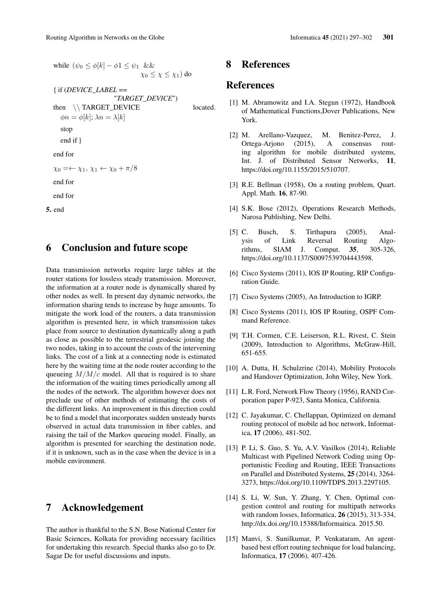while  $(\psi_0 \leq \phi[k] - \phi \mathbb{1} \leq \psi_1 \&\&$  $\chi_0 \leq \chi \leq \chi_1$ ) do { if (*DEVICE\_LABEL* == "*TARGET\_DEVICE*") then \\ TARGET\_DEVICE located.  $\phi n = \phi[k]; \lambda n = \lambda[k]$ stop end if }

end for

 $\chi_0 = \leftarrow \chi_1, \, \chi_1 \leftarrow \chi_0 + \pi/8$ 

end for

end for

5. end

### 6 Conclusion and future scope

Data transmission networks require large tables at the router stations for lossless steady transmission. Moreover, the information at a router node is dynamically shared by other nodes as well. In present day dynamic networks, the information sharing tends to increase by huge amounts. To mitigate the work load of the routers, a data transmission algorithm is presented here, in which transmission takes place from source to destination dynamically along a path as close as possible to the terrestrial geodesic joining the two nodes, taking in to account the costs of the intervening links. The cost of a link at a connecting node is estimated here by the waiting time at the node router according to the queueing  $M/M/c$  model. All that is required is to share the information of the waiting times periodically among all the nodes of the network. The algorithm however does not preclude use of other methods of estimating the costs of the different links. An improvement in this direction could be to find a model that incorporates sudden unsteady bursts observed in actual data transmission in fiber cables, and raising the tail of the Markov queueing model. Finally, an algorithm is presented for searching the destination node, if it is unknown, such as in the case when the device is in a mobile environment.

### 7 Acknowledgement

The author is thankful to the S.N. Bose National Center for Basic Sciences, Kolkata for providing necessary facilities for undertaking this research. Special thanks also go to Dr. Sagar De for useful discussions and inputs.

# 8 References

# References

- [1] M. Abramowitz and I.A. Stegun (1972), Handbook of Mathematical Functions,Dover Publications, New York.
- [2] M. Arellano-Vazquez, M. Benitez-Perez, J. Ortega-Arjono (2015), A consensus routing algorithm for mobile distributed systems, Int. J. of Distributed Sensor Networks, 11, https://doi.org/10.1155/2015/510707.
- [3] R.E. Bellman (1958), On a routing problem, Quart. Appl. Math. 16, 87-90.
- [4] S.K. Bose (2012), Operations Research Methods, Narosa Publishing, New Delhi.
- [5] C. Busch, S. Tirthapura (2005), Analysis of Link Reversal Routing Algorithms, SIAM J. Comput. 35, 305-326, https://doi.org/10.1137/S0097539704443598.
- [6] Cisco Systems (2011), IOS IP Routing, RIP Configuration Guide.
- [7] Cisco Systems (2005), An Introduction to IGRP.
- [8] Cisco Systems (2011), IOS IP Routing, OSPF Command Reference.
- [9] T.H. Cormen, C.E. Leiserson, R.L. Rivest, C. Stein (2009), Introduction to Algorithms, McGraw-Hill, 651-655.
- [10] A. Dutta, H. Schulzrine (2014), Mobility Protocols and Handover Optimization, John Wiley, New York.
- [11] L.R. Ford, Network Flow Theory (1956), RAND Corporation paper P-923, Santa Monica, California.
- [12] C. Jayakumar, C. Chellappan, Optimized on demand routing protocol of mobile ad hoc network, Informatica, 17 (2006), 481-502.
- [13] P. Li, S. Guo, S. Yu, A.V. Vasilkos (2014), Reliable Multicast with Pipelined Network Coding using Opportunistic Feeding and Routing, IEEE Transactions on Parallel and Distributed Systems, 25 (2014), 3264- 3273, https://doi.org/10.1109/TDPS.2013.2297105.
- [14] S. Li, W. Sun, Y. Zhang, Y. Chen, Optimal congestion control and routing for multipath networks with random losses, Informatica, 26 (2015), 313-334, http://dx.doi.org/10.15388/Informaitica. 2015.50.
- [15] Manvi, S. Sunilkumar, P. Venkataram, An agentbased best effort routing technique for load balancing, Informatica, 17 (2006), 407-426.